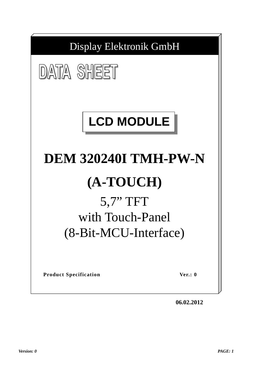

**06.02.2012**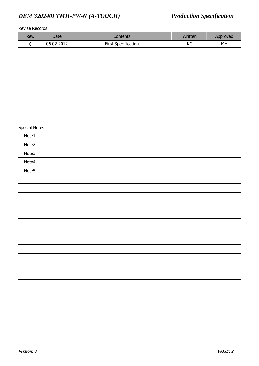#### Revise Records

| Rev.     | Date       | <b>Contents</b>     | Written | Approved |
|----------|------------|---------------------|---------|----------|
| $\bf{0}$ | 06.02.2012 | First Specification | KC      | MH       |
|          |            |                     |         |          |
|          |            |                     |         |          |
|          |            |                     |         |          |
|          |            |                     |         |          |
|          |            |                     |         |          |
|          |            |                     |         |          |
|          |            |                     |         |          |
|          |            |                     |         |          |
|          |            |                     |         |          |
|          |            |                     |         |          |

# Special Notes

| Note1. |  |
|--------|--|
| Note2. |  |
| Note3. |  |
| Note4. |  |
| Note5. |  |
|        |  |
|        |  |
|        |  |
|        |  |
|        |  |
|        |  |
|        |  |
|        |  |
|        |  |
|        |  |
|        |  |
|        |  |
|        |  |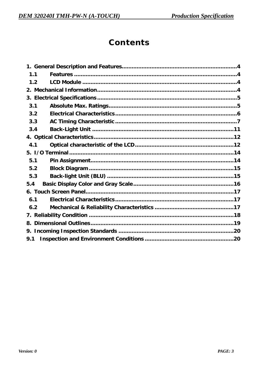# Contents

| 1.1 |                                               |  |
|-----|-----------------------------------------------|--|
| 1.2 |                                               |  |
|     |                                               |  |
|     |                                               |  |
| 3.1 |                                               |  |
| 3.2 |                                               |  |
|     |                                               |  |
|     |                                               |  |
|     |                                               |  |
| 4.1 |                                               |  |
|     |                                               |  |
|     |                                               |  |
|     |                                               |  |
|     |                                               |  |
| 5.4 |                                               |  |
|     |                                               |  |
|     |                                               |  |
|     |                                               |  |
|     |                                               |  |
| 8.  |                                               |  |
| 9.  |                                               |  |
| 9.1 |                                               |  |
|     | 3.3<br>3.4<br>5.1<br>5.2<br>5.3<br>6.1<br>6.2 |  |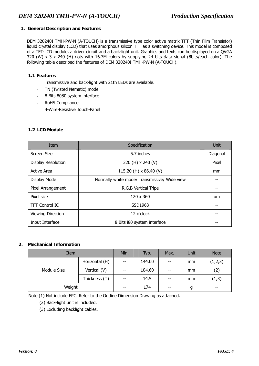#### **1. General Description and Features**

DEM 320240I TMH-PW-N (A-TOUCH) is a transmissive type color active matrix TFT (Thin Film Transistor) liquid crystal display (LCD) that uses amorphous silicon TFT as a switching device. This model is composed of a TFT-LCD module, a driver circuit and a back-light unit. Graphics and texts can be displayed on a QVGA 320 (W) x 3 x 240 (H) dots with 16.7M colors by supplying 24 bits data signal (8bits/each color). The following table described the features of DEM 320240I TMH-PW-N (A-TOUCH).

#### **1.1 Features**

- Transmissive and back-light with 21th LEDs are available.
- TN (Twisted Nematic) mode.
- 8 Bits 8080 system interface
- RoHS Compliance
- 4-Wire-Resistive Touch-Panel

## **1.2 LCD Module**

| Item                      | Specification                                | Unit     |
|---------------------------|----------------------------------------------|----------|
| Screen Size               | 5.7 inches                                   | Diagonal |
| <b>Display Resolution</b> | 320 (H) x 240 (V)                            | Pixel    |
| <b>Active Area</b>        | 115.20 (H) x 86.40 (V)                       | mm       |
| Display Mode              | Normally white mode/ Transmissive/ Wide view |          |
| Pixel Arrangement         | R, G, B Vertical Tripe                       |          |
| Pixel size                | 120 x 360                                    | um       |
| <b>TFT Control IC</b>     | SSD1963                                      |          |
| <b>Viewing Direction</b>  | 12 o'clock                                   |          |
| Input Interface           | 8 Bits i80 system interface                  |          |

#### **2. Mechanical Information**

| Item        |                | Min.  | Typ.   | Max.  | Unit  | <b>Note</b> |
|-------------|----------------|-------|--------|-------|-------|-------------|
| Module Size | Horizontal (H) | $- -$ | 144.00 | $- -$ | mm    | (1,2,3)     |
|             | Vertical (V)   | $-$   | 104.60 | $- -$ | mm    | (2)         |
|             | Thickness (T)  | $-$   | 14.5   | $- -$ | mm    | (1,3)       |
| Weight      | $- -$          | 174   | $- -$  | g     | $- -$ |             |

Note (1) Not include FPC. Refer to the Outline Dimension Drawing as attached.

(2) Back-light unit is included.

(3) Excluding backlight cables.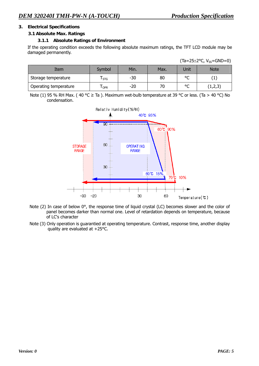#### **3. Electrical Specifications**

#### **3.1 Absolute Max. Ratings**

#### **3.1.1 Absolute Ratings of Environment**

If the operating condition exceeds the following absolute maximum ratings, the TFT LCD module may be damaged permanently.

| Item                  | Symbol     | Min.  | Max. | Unit         | <b>Note</b> |
|-----------------------|------------|-------|------|--------------|-------------|
| Storage temperature   | <b>STG</b> | -30   | 80   | $\sim$<br>๛  | ÷           |
| Operating temperature | <b>OPR</b> | $-20$ | / U  | $\circ$<br>֊ | (1,2,3)     |

Note (1) 95 % RH Max. (40 °C  $\geq$  Ta ). Maximum wet-bulb temperature at 39 °C or less. (Ta > 40 °C) No condensation.



- Note (2) In case of below 0°, the response time of liquid crystal (LC) becomes slower and the color of panel becomes darker than normal one. Level of retardation depends on temperature, because of LC's character
- Note (3) Only operation is guarantied at operating temperature. Contrast, response time, another display quality are evaluated at +25°C.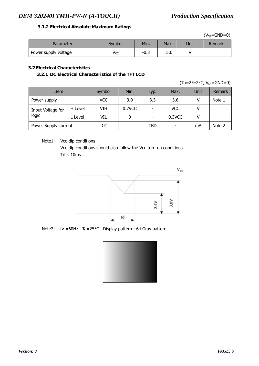## **3.1.2 Electrical Absolute Maximum Ratings**

 $(V_{SS}=GND=0)$ 

| Parameter            | Svmbol          | Min.                             | Max.      | Unit | Remark |
|----------------------|-----------------|----------------------------------|-----------|------|--------|
| Power supply voltage | v <sub>cc</sub> | $\overline{\phantom{a}}$<br>-0.∍ | гΛ<br>J.U |      |        |

## **3.2 Electrical Characteristics**

**3.2.1 DC Electrical Characteristics of the TFT LCD** 

 $(Ta=25\pm2\degree C, V_{SS}=GND=0)$ 

| Item                       |         | Symbol | Min.   | Typ. | Max.       | Unit | Remark |
|----------------------------|---------|--------|--------|------|------------|------|--------|
| Power supply               |         | VCC    | 3.0    | 3.3  | 3.6        |      | Note 1 |
| Input Voltage for<br>logic | H Level | VIH    | 0.7VCC | -    | <b>VCC</b> |      |        |
|                            | L Level | VIL    |        |      | 0.3VCC     |      |        |
| Power Supply current       |         | ICC    |        | TBD  |            | mA   | Note 2 |

## Note1: Vcc-dip conditions

 Vcc-dip conditions should also follow the Vcc-turn-on conditions  $Td \leq 10$ ms



Note2: fv =60Hz , Ta=25°C , Display pattern : 64 Gray pattern

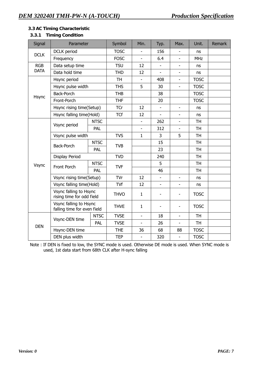## **3.3 AC Timing Characteristic**

# **3.3.1 Timing Condition**

| Signal      | Parameter                                             |                                                     | Symbol      | Min.           | Typ.                     | Max.                     | Unit.       | Remark |
|-------------|-------------------------------------------------------|-----------------------------------------------------|-------------|----------------|--------------------------|--------------------------|-------------|--------|
| <b>DCLK</b> | DCLK period                                           |                                                     | <b>TOSC</b> |                | 156                      |                          | ns          |        |
|             | Frequency                                             |                                                     | <b>FOSC</b> | $\overline{a}$ | 6.4                      |                          | <b>MHz</b>  |        |
| <b>RGB</b>  | Data setup time                                       |                                                     | <b>TSU</b>  | 12             | $\overline{\phantom{0}}$ | $\overline{\phantom{a}}$ | ns          |        |
| <b>DATA</b> | Data hold time                                        |                                                     | <b>THD</b>  | 12             |                          |                          | <b>ns</b>   |        |
|             | Hsync period                                          |                                                     | <b>TH</b>   | $\blacksquare$ | 408                      | $\overline{\phantom{a}}$ | <b>TOSC</b> |        |
|             | Hsync pulse width                                     |                                                     | <b>THS</b>  | 5              | 30                       |                          | <b>TOSC</b> |        |
| Hsync       | <b>Back-Porch</b>                                     |                                                     | <b>THB</b>  |                | 38                       |                          | <b>TOSC</b> |        |
|             | Front-Porch                                           |                                                     | <b>THF</b>  |                | 20                       |                          | <b>TOSC</b> |        |
|             | Hsync rising time(Setup)                              |                                                     | <b>TCr</b>  | 12             |                          |                          | ns          |        |
|             | Hsync falling time(Hold)                              |                                                     | <b>TCf</b>  | 12             | $\overline{a}$           |                          | ns          |        |
|             | Vsync period                                          | <b>NTSC</b>                                         |             |                | 262                      | $\overline{\phantom{a}}$ | <b>TH</b>   |        |
|             |                                                       | PAL                                                 |             |                | 312                      | $\blacksquare$           | <b>TH</b>   |        |
|             | Vsync pulse width                                     |                                                     | <b>TVS</b>  | $\mathbf{1}$   | 3                        | 5                        | <b>TH</b>   |        |
|             | Back-Porch                                            | <b>NTSC</b>                                         | <b>TVB</b>  |                | 15                       |                          | <b>TH</b>   |        |
|             |                                                       | PAL                                                 |             |                | 23                       |                          | <b>TH</b>   |        |
|             | Display Period                                        |                                                     | <b>TVD</b>  |                | 240                      |                          | <b>TH</b>   |        |
| Vsync       | Front Porch                                           | <b>NTSC</b>                                         | <b>TVF</b>  |                | 5                        |                          | <b>TH</b>   |        |
|             |                                                       | PAL                                                 |             |                | 46                       |                          | <b>TH</b>   |        |
|             | Vsync rising time(Setup)                              |                                                     | TVr         | 12             |                          |                          | ns          |        |
|             | Vsync falling time(Hold)                              |                                                     | TVf         | 12             | $\overline{a}$           |                          | ns          |        |
|             |                                                       | Vsync falling to Hsync<br>rising time for odd field |             | $\mathbf{1}$   |                          |                          | <b>TOSC</b> |        |
|             | Vsync falling to Hsync<br>falling time for even field |                                                     | <b>THVE</b> | $\mathbf{1}$   |                          |                          | <b>TOSC</b> |        |
|             | Vsync-DEN time                                        | <b>NTSC</b>                                         | <b>TVSE</b> | $\blacksquare$ | 18                       | $\overline{\phantom{a}}$ | <b>TH</b>   |        |
| <b>DEN</b>  |                                                       | PAL                                                 | <b>TVSE</b> |                | 26                       |                          | <b>TH</b>   |        |
|             | Hsync-DEN time                                        |                                                     | <b>THE</b>  | 36             | 68                       | 88                       | <b>TOSC</b> |        |
|             | DEN plus width                                        |                                                     | <b>TEP</b>  |                | 320                      |                          | <b>TOSC</b> |        |

Note : If DEN is fixed to low, the SYNC mode is used. Otherwise DE mode is used. When SYNC mode is used, 1st data start from 68th CLK after H-sync falling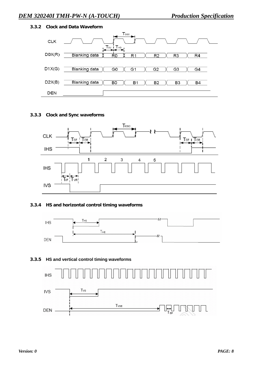#### **3.3.2 Clock and Data Waveform**



**3.3.3 Clock and Sync waveforms** 



## **3.3.4 HS and horizontal control timing waveforms**



#### **3.3.5 HS and vertical control timing waveforms**

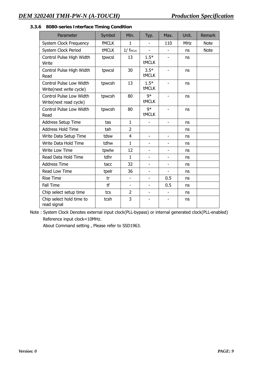| Parameter                                          | Symbol       | Min.                     | Typ.                     | Max.                     | Unit.      | <b>Remark</b> |
|----------------------------------------------------|--------------|--------------------------|--------------------------|--------------------------|------------|---------------|
| <b>System Clock Frequency</b>                      | <b>fMCLK</b> | $\mathbf{1}$             |                          | 110                      | <b>MHz</b> | <b>Note</b>   |
| System Clock Period                                | <b>tMCLK</b> | $1/$ fmcLK               |                          | $\overline{a}$           | ns         | <b>Note</b>   |
| Control Pulse High Width<br>Write                  | tpwcsl       | 13                       | $1.5*$<br><b>tMCLK</b>   |                          | ns         |               |
| Control Pulse High Width<br>Read                   | tpwcsl       | 30                       | $3.5*$<br><b>tMCLK</b>   | $\overline{\phantom{0}}$ | ns         |               |
| Control Pulse Low Width<br>Write(next write cycle) | tpwcsh       | 13                       | $1.5*$<br><b>tMCLK</b>   | $\overline{a}$           | ns         |               |
| Control Pulse Low Width<br>Write(next read cycle)  | tpwcsh       | 80                       | $9*$<br><b>tMCLK</b>     | $\overline{\phantom{0}}$ | ns         |               |
| Control Pulse Low Width<br>Read                    | tpwcsh       | 80                       | $9*$<br><b>tMCLK</b>     | ٠                        | ns         |               |
| Address Setup Time                                 | tas          | $\mathbf{1}$             |                          | $\overline{\phantom{a}}$ | ns         |               |
| Address Hold Time                                  | tah          | $\overline{2}$           |                          |                          | ns         |               |
| Write Data Setup Time                              | tdsw         | 4                        | $\overline{\phantom{0}}$ | $\overline{\phantom{a}}$ | ns         |               |
| Write Data Hold Time                               | tdhw         | $\mathbf{1}$             | ÷                        | $\overline{\phantom{0}}$ | ns         |               |
| Write Low Time                                     | tpwlw        | 12                       | $\overline{\phantom{0}}$ | ÷,                       | ns         |               |
| Read Data Hold Time                                | tdhr         | $\mathbf{1}$             | $\overline{\phantom{0}}$ | $\overline{\phantom{0}}$ | ns         |               |
| <b>Address Time</b>                                | tacc         | 32                       | $\overline{\phantom{0}}$ | $\overline{\phantom{a}}$ | ns         |               |
| Read Low Time                                      | tpelr        | 36                       | ÷.                       | $\overline{a}$           | ns         |               |
| <b>Rise Time</b>                                   | tr           | $\blacksquare$           | $\overline{\phantom{0}}$ | 0.5                      | ns         |               |
| Fall Time                                          | tf           | $\overline{\phantom{a}}$ | $\overline{\phantom{0}}$ | 0.5                      | ns         |               |
| Chip select setup time                             | tcs          | 2                        | -                        | $\overline{\phantom{0}}$ | ns         |               |
| Chip select hold time to<br>read signal            | tcsh         | 3                        |                          | $\overline{\phantom{0}}$ | ns         |               |

#### **3.3.6 8080-series Interface Timing Condition**

Note : System Clock Denotes external input clock(PLL-bypass) or internal generated clock(PLL-enabled) Reference input clock=10MHz.

About Command setting , Please refer to SSD1963.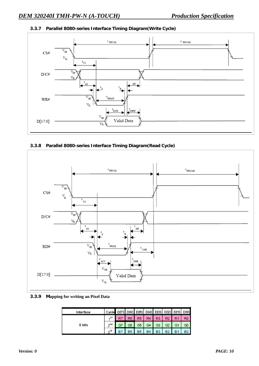## **3.3.7 Parallel 8080-series Interface Timing Diagram(Write Cycle)**



## **3.3.8 Parallel 8080-series Interface Timing Diagram(Read Cycle)**



#### **3.3.9 Mapping for writing an Pixel Data**

| Interface | Cycle D[7] D[6] D[5] D[4] D[3] D[2] D[1] D[0] |                |                |    |                |           |                |  |
|-----------|-----------------------------------------------|----------------|----------------|----|----------------|-----------|----------------|--|
|           |                                               | R <sub>6</sub> | R <sub>5</sub> | R4 | R3             | R2        | R <sub>1</sub> |  |
| 8 bits    | ond                                           |                | G5             | G4 | G3             | G2        |                |  |
|           |                                               | B6             | <b>B5</b>      | R4 | D <sub>2</sub> | <b>B2</b> |                |  |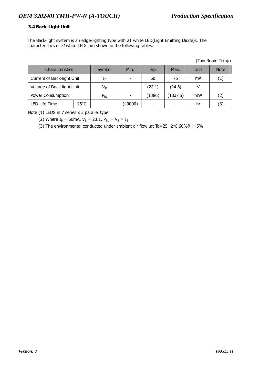## **3.4 Back-Light Unit**

The Back-light system is an edge-lighting type with 21 white LED(Light Emitting Diode)s. The characteristics of 21white LEDs are shown in the following tables.

| Characteristics                   | Symbol         | Min. | Typ.           | Max.     | Unit   | <b>Note</b> |     |
|-----------------------------------|----------------|------|----------------|----------|--------|-------------|-----|
| <b>Current of Back-light Unit</b> | $L_{\rm B}$    |      | 60             | 75       | mA     | (1)         |     |
| Voltage of Back-light Unit        |                | Vв   | $\blacksquare$ | (23.1)   | (24.5) |             |     |
| Power Consumption                 | $P_{BL}$       |      | (1386)         | (1837.5) | mW     | (2)         |     |
| LED Life Time                     | $25^{\circ}$ C |      | (40000)        |          |        | hr          | (3) |

(Ta= Room Temp)

Note (1) LEDS in 7 series x 3 parallel type.

(2) Where  $I_B = 60$ mA,  $V_B = 23.1$ ,  $P_{BL} = V_B \times I_B$ 

(3) The environmental conducted under ambient air flow ,at Ta=25±2°C,60%RH±5%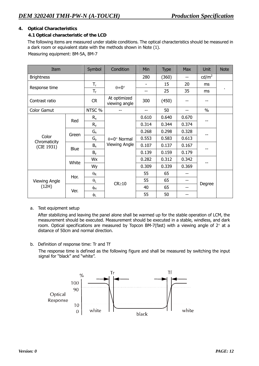## **4. Optical Characteristics**

## **4.1 Optical characteristic of the LCD**

The following items are measured under stable conditions. The optical characteristics should be measured in a dark room or equivalent state with the methods shown in Note (1). Measuring equipment: BM-5A, BM-7

| Item                       |       | Symbol                | Condition                     | Min   | <b>Type</b> | <b>Max</b> | Unit            | <b>Note</b> |
|----------------------------|-------|-----------------------|-------------------------------|-------|-------------|------------|-----------------|-------------|
| <b>Brightness</b>          |       |                       |                               | 280   | (360)       | --         | $\text{cd/m}^2$ |             |
| Response time              |       | $T_{\rm r}$           | $\theta = 0^{\circ}$          | ۰     | 15          | 20         | ms              |             |
|                            |       | $T_{\sf f}$           |                               | --    | 25          | 35         | ms              | ٠           |
| Contrast ratio             |       | <b>CR</b>             | At optimized<br>viewing angle | 300   | (450)       |            |                 |             |
| Color Gamut                |       | NTSC %                |                               | --    | 50          |            | $\%$            |             |
|                            | Red   | $R_{x}$               |                               | 0.610 | 0.640       | 0.670      |                 |             |
|                            |       | $R_{y}$               |                               | 0.314 | 0.344       | 0.374      |                 |             |
|                            | Green | $G_{x}$               |                               | 0.268 | 0.298       | 0.328      |                 |             |
| Color                      |       | $G_{y}$               | $\theta = 0^\circ$ Normal     | 0.553 | 0.583       | 0.613      |                 |             |
| Chromaticity<br>(CIE 1931) | Blue  | $B_{x}$               | Viewing Angle                 | 0.107 | 0.137       | 0.167      |                 |             |
|                            |       | $B_y$                 |                               | 0.139 | 0.159       | 0.179      |                 |             |
|                            | White | Wx                    |                               | 0.282 | 0.312       | 0.342      |                 |             |
|                            |       | Wy                    |                               | 0.309 | 0.339       | 0.369      |                 |             |
|                            | Hor.  | $\theta_{\mathsf{R}}$ |                               | 55    | 65          | --         |                 |             |
| Viewing Angle              |       | $\theta_L$            | $CR \ge 10$                   | 55    | 65          | --         | Degree          |             |
| (12H)                      | Ver.  | φн                    |                               | 40    | 65          | --         |                 |             |
|                            |       | φL                    |                               | 55    | 50          | --         |                 |             |

a. Test equipment setup

After stabilizing and leaving the panel alone shall be warmed up for the stable operation of LCM, the measurement should be executed. Measurement should be executed in a stable, windless, and dark room. Optical specifications are measured by Topcon BM-7(fast) with a viewing angle of  $2^{\circ}$  at a distance of 50cm and normal direction.

b. Definition of response time: Tr and Tf

 The response time is defined as the following figure and shall be measured by switching the input signal for "black" and "white".

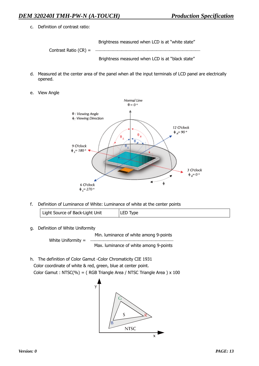c. Definition of contrast ratio:

Brightness measured when LCD is at "white state"

Contrast Ratio (CR) =

Brightness measured when LCD is at "black state"

- d. Measured at the center area of the panel when all the input terminals of LCD panel are electrically opened.
- e. View Angle



f. Definition of Luminance of White: Luminance of white at the center points

Light Source of Back-Light Unit LED Type

g. Definition of White Uniformity

Min. luminance of white among 9-points White Uniformity = Max. luminance of white among 9-points

h. The definition of Color Gamut -Color Chromaticity CIE 1931 Color coordinate of white & red, green, blue at center point. Color Gamut : NTSC(%) = ( RGB Triangle Area / NTSC Triangle Area ) x 100

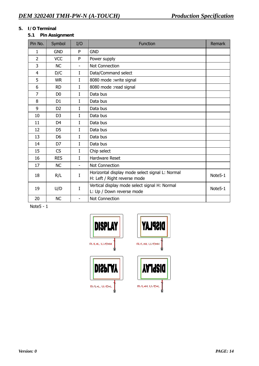# **5. I/O Terminal**

# **5.1 Pin Assignment**

| Pin No.        | Symbol         | I/O                      | <b>Function</b>                                                                 | Remark  |
|----------------|----------------|--------------------------|---------------------------------------------------------------------------------|---------|
| 1              | <b>GND</b>     | P                        | <b>GND</b>                                                                      |         |
| $\overline{2}$ | <b>VCC</b>     | P                        | Power supply                                                                    |         |
| 3              | <b>NC</b>      | $\overline{\phantom{0}}$ | Not Connection                                                                  |         |
| 4              | D/C            | I                        | Data/Command select                                                             |         |
| 5              | <b>WR</b>      | I                        | 8080 mode : write signal                                                        |         |
| 6              | <b>RD</b>      | I                        | 8080 mode : read signal                                                         |         |
| 7              | D <sub>0</sub> | I                        | Data bus                                                                        |         |
| 8              | D <sub>1</sub> | L                        | Data bus                                                                        |         |
| 9              | D <sub>2</sub> | I                        | Data bus                                                                        |         |
| 10             | D <sub>3</sub> | I                        | Data bus                                                                        |         |
| 11             | D <sub>4</sub> | I                        | Data bus                                                                        |         |
| 12             | D <sub>5</sub> | I                        | Data bus                                                                        |         |
| 13             | D <sub>6</sub> | I                        | Data bus                                                                        |         |
| 14             | D7             | I                        | Data bus                                                                        |         |
| 15             | CS             | L                        | Chip select                                                                     |         |
| 16             | <b>RES</b>     | L                        | <b>Hardware Reset</b>                                                           |         |
| 17             | <b>NC</b>      | $\overline{\phantom{0}}$ | Not Connection                                                                  |         |
| 18             | R/L            | I                        | Horizontal display mode select signal L: Normal<br>H: Left / Right reverse mode | Note5-1 |
| 19             | U/D            | I                        | Vertical display mode select signal H: Normal<br>L: Up / Down reverse mode      | Note5-1 |
| 20             | <b>NC</b>      | $\qquad \qquad -$        | Not Connection                                                                  |         |

Note5 - 1

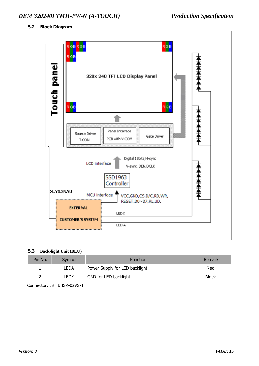## **5.2 Block Diagram**



#### **5.3 Back-light Unit (BLU)**

| Pin No. | Symbol | <b>Function</b>                | Remark       |
|---------|--------|--------------------------------|--------------|
|         | LEDA   | Power Supply for LED backlight | Red          |
|         | Ledk   | GND for LED backlight          | <b>Black</b> |

Connector: JST BHSR-02VS-1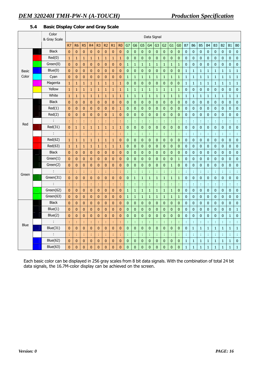## **5.4 Basic Display Color and Gray Scale**

|              | Color<br>& Gray Scale |                | Data Signal    |                |                |                |                |              |                |              |                |                |                |                |                |              |                |              |                |                  |                |                |                |              |                |
|--------------|-----------------------|----------------|----------------|----------------|----------------|----------------|----------------|--------------|----------------|--------------|----------------|----------------|----------------|----------------|----------------|--------------|----------------|--------------|----------------|------------------|----------------|----------------|----------------|--------------|----------------|
|              |                       | R <sub>7</sub> | R <sub>6</sub> | R <sub>5</sub> | R <sub>4</sub> | R <sub>3</sub> | R <sub>2</sub> | R1           | R <sub>0</sub> | G7           | G <sub>6</sub> | G <sub>5</sub> | G <sub>4</sub> | G <sub>3</sub> | G <sub>2</sub> | G1           | G <sub>0</sub> | B7           | <b>B6</b>      | <b>B5</b>        | B <sub>4</sub> | B <sub>3</sub> | B <sub>2</sub> | <b>B1</b>    | B <sub>0</sub> |
|              | <b>Black</b>          | $\mathbf{0}$   | $\bf{0}$       | $\mathbf{0}$   | $\bf{0}$       | $\mathbf 0$    | $\mathbf{0}$   | $\bf{0}$     | $\mathbf{0}$   | $\pmb{0}$    | $\mathbf 0$    | $\mathbf 0$    | $\mathbf 0$    | $\pmb{0}$      | $\mathbf 0$    | $\pmb{0}$    | $\mathbf{0}$   | $\bf{0}$     | $\pmb{0}$      | $\bf{0}$         | $\mathbf{0}$   | $\bf{0}$       | $\pmb{0}$      | $\pmb{0}$    | $\pmb{0}$      |
|              | Red(0)                | $\mathbf{1}$   | $\mathbf{1}$   | $\mathbf 1$    | $\mathbf{1}$   | $\mathbf{1}$   | $\mathbf{1}$   | $\mathbf{1}$ | $\mathbf 1$    | $\pmb{0}$    | $\pmb{0}$      | $\pmb{0}$      | $\bf{0}$       | $\pmb{0}$      | $\mathbf 0$    | $\pmb{0}$    | $\bf{0}$       | $\bf{0}$     | $\pmb{0}$      | $\bf{0}$         | $\bf{0}$       | $\bf{0}$       | $\pmb{0}$      | $\bf{0}$     | $\bf{0}$       |
|              | Green(0)              | $\mathbf{0}$   | $\mathbf{0}$   | $\mathbf{0}$   | $\bf{0}$       | $\pmb{0}$      | $\mathbf{0}$   | $\pmb{0}$    | $\pmb{0}$      | $\mathbf 1$  | $\mathbf{1}$   | $\mathbf{1}$   | $\mathbf 1$    | $\mathbf 1$    | $\mathbf 1$    | $\mathbf{1}$ | $\mathbf 1$    | $\pmb{0}$    | $\pmb{0}$      | $\bf{0}$         | $\bf{0}$       | $\pmb{0}$      | $\bf 0$        | $\pmb{0}$    | $\pmb{0}$      |
| <b>Basic</b> | Blue(0)               | $\mathbf{0}$   | 0              | $\mathbf{0}$   | 0              | $\bf{0}$       | $\mathbf{0}$   | $\mathbf{0}$ | $\mathbf{0}$   | $\mathbf{0}$ | $\mathbf 0$    | $\mathbf{0}$   | $\bf{0}$       | $\mathbf 0$    | $\pmb{0}$      | $\mathbf 0$  | $\mathbf 0$    | $\mathbf{1}$ | $\mathbf{1}$   | $\mathbf{1}$     | $\mathbf{1}$   | $\mathbf{1}$   | $\mathbf{1}$   | $\mathbf{1}$ | $\mathbf 1$    |
| Color        | Cyan                  | $\mathbf{0}$   | $\mathbf{0}$   | $\bf{0}$       | 0              | $\bf{0}$       | $\mathbf{0}$   | $\mathbf{0}$ | $\mathbf{0}$   | $\mathbf{1}$ | $\mathbf{1}$   | $\mathbf{1}$   | $\mathbf{1}$   | $\mathbf{1}$   | $\mathbf{1}$   | $\mathbf{1}$ | $\mathbf{1}$   | $\mathbf{1}$ | $\mathbf{1}$   | $\mathbf{1}$     | $\mathbf{1}$   | $\mathbf{1}$   | $\mathbf{1}$   | $\mathbf{1}$ | $\mathbf{1}$   |
|              | Magenta               | $\mathbf{1}$   | $\mathbf{1}$   | $\mathbf{1}$   | $\mathbf{1}$   | $\mathbf{1}$   | $\mathbf{1}$   | $\mathbf{1}$ | $\mathbf{1}$   | $\pmb{0}$    | $\mathbf{0}$   | 0              | $\pmb{0}$      | $\mathbf 0$    | $\pmb{0}$      | $\mathbf{0}$ | 0              | $\mathbf{1}$ | $\mathbf{1}$   | $\mathbf{1}$     | $\mathbf{1}$   | $\mathbf{1}$   | $\mathbf{1}$   | $\mathbf{1}$ | $\mathbf{1}$   |
|              | Yellow                | $\mathbf{1}$   | 1              | $\mathbf 1$    | $\mathbf{1}$   | $\mathbf{1}$   | $\mathbf{1}$   | $\mathbf 1$  | $\mathbf 1$    | $\mathbf{1}$ | $\mathbf 1$    | $\mathbf 1$    | $\mathbf 1$    | $1\,$          | $\mathbf 1$    | $\mathbf 1$  | $\mathbf{1}$   | $\pmb{0}$    | $\pmb{0}$      | $\overline{0}$   | $\pmb{0}$      | $\mathbf{0}$   | $\pmb{0}$      | 0            | $\pmb{0}$      |
|              | White                 | $\mathbf{1}$   | $\mathbf{1}$   | $\mathbf{1}$   | $\mathbf{1}$   | $\mathbf{1}$   | $\mathbf{1}$   | $\mathbf{1}$ | $\mathbf{1}$   | $\mathbf{1}$ | $\mathbf{1}$   | $\mathbf{1}$   | $\mathbf 1$    | $\mathbf{1}$   | $\mathbf 1$    | $\mathbf{1}$ | $\mathbf{1}$   | $\mathbf{1}$ | $\mathbf{1}$   | $\mathbf{1}$     | $\mathbf{1}$   | $\mathbf{1}$   | $\mathbf{1}$   | $\mathbf{1}$ | $\mathbf{1}$   |
|              | <b>Black</b>          | $\bf{0}$       | $\mathbf{0}$   | $\bf{0}$       | $\bf{0}$       | $\pmb{0}$      | $\mathbf{0}$   | $\pmb{0}$    | $\pmb{0}$      | $\mathbf 0$  | $\pmb{0}$      | $\pmb{0}$      | $\pmb{0}$      | $\pmb{0}$      | $\pmb{0}$      | $\mathbf 0$  | $\overline{0}$ | $\pmb{0}$    | $\bf 0$        | $\pmb{0}$        | $\mathbf{0}$   | $\bf{0}$       | $\bf 0$        | $\pmb{0}$    | $\bf{0}$       |
|              | Red(1)                | $\mathbf{0}$   | 0              | $\mathbf{0}$   | $\bf{0}$       | $\bf{0}$       | $\mathbf{0}$   | $\mathbf{0}$ | $\mathbf 1$    | $\bf{0}$     | $\mathbf 0$    | 0              | $\bf{0}$       | $\mathbf{0}$   | $\bf{0}$       | $\mathbf{0}$ | $\mathbf 0$    | $\bf{0}$     | $\bf{0}$       | $\bf{0}$         | $\mathbf{0}$   | $\bf{0}$       | $\bf{0}$       | $\bf{0}$     | $\mathbf 0$    |
|              | Red(2)                | $\bf{0}$       | $\bf{0}$       | $\mathbf{0}$   | 0              | $\mathbf{0}$   | $\mathbf{0}$   | $\mathbf{1}$ | $\bf{0}$       | 0            | $\mathbf 0$    | 0              | $\bf{0}$       | $\mathbf{0}$   | $\pmb{0}$      | $\mathbf{0}$ | $\mathbf 0$    | $\bf{0}$     | $\bf{0}$       | $\bf{0}$         | 0              | $\bf{0}$       | $\bf{0}$       | 0            | $\mathbf 0$    |
|              |                       | ÷              | t              | ÷              | ÷              | ÷              |                | ÷            | ÷              | ţ.           | ÷              | ÷              | ÷              | ÷              | ÷              | ÷            | ÷              | ÷            | t              | ÷                | t              | ÷              | ÷              | ÷            | ÷              |
| Red          | Red(31)               | $\overline{0}$ | $\mathbf{1}$   | $\mathbf{1}$   | $\mathbf{1}$   | $\mathbf{1}$   | $\mathbf{1}$   | $\mathbf{1}$ | $\mathbf{1}$   | $\bf{0}$     | $\mathbf 0$    | $\bf{0}$       | $\bf{0}$       | $\mathbf 0$    | $\pmb{0}$      | $\bf{0}$     | $\mathbf 0$    | $\mathbf 0$  | $\bf{0}$       | $\mathbf{0}$     | $\mathbf{0}$   | $\mathbf{0}$   | $\bf{0}$       | $\bf{0}$     | $\pmb{0}$      |
|              | ÷                     | ÷              | t              | ł              | ÷,             | ÷.             |                | ÷            | ÷              | t            | ÷              | ÷              | ÷              | ÷              | ÷              | ÷            | ÷.             | ÷            | ÷              | ÷                | ÷              | ÷              | ÷              | ÷            | $\frac{1}{2}$  |
|              | Red(62)               | $\mathbf{1}$   | $\mathbf{1}$   | $\mathbf 1$    | $\mathbf{1}$   | $\mathbf 1$    | $\mathbf{1}$   | $\mathbf 1$  | $\pmb{0}$      | $\pmb{0}$    | $\pmb{0}$      | $\pmb{0}$      | $\pmb{0}$      | $\pmb{0}$      | $\mathbf 0$    | $\pmb{0}$    | $\pmb{0}$      | $\pmb{0}$    | $\pmb{0}$      | $\pmb{0}$        | $\pmb{0}$      | $\pmb{0}$      | $\pmb{0}$      | $\pmb{0}$    | $\bf{0}$       |
|              | Red(63)               | $\mathbf{1}$   | 1              | $\mathbf{1}$   | 1              | $\mathbf{1}$   | 1              | $\mathbf{1}$ | $\mathbf{1}$   | $\mathbf{0}$ | 0              | $\bf{0}$       | $\bf{0}$       | $\bf{0}$       | $\bf{0}$       | $\bf{0}$     | $\mathbf{0}$   | $\bf{0}$     | $\bf{0}$       | $\boldsymbol{0}$ | $\bf{0}$       | $\bf{0}$       | $\mathbf{0}$   | $\bf{0}$     | $\pmb{0}$      |
|              | <b>Black</b>          | $\mathbf{0}$   | $\bf{0}$       | $\mathbf{0}$   | 0              | 0              | $\mathbf{0}$   | $\mathbf{0}$ | $\bf{0}$       | $\mathbf{0}$ | 0              | 0              | $\bf{0}$       | $\mathbf{0}$   | $\bf{0}$       | $\bf{0}$     | $\mathbf 0$    | $\bf{0}$     | $\bf{0}$       | $\bf{0}$         | 0              | $\bf{0}$       | $\bf{0}$       | $\bf{0}$     | $\pmb{0}$      |
|              | Green(1)              | $\mathbf{0}$   | 0              | $\mathbf{0}$   | $\bf{0}$       | $\bf{0}$       | $\mathbf{0}$   | $\mathbf{0}$ | $\bf{0}$       | 0            | 0              | 0              | $\bf{0}$       | $\bf{0}$       | $\bf{0}$       | $\mathbf{0}$ | $\mathbf{1}$   | $\mathbf{0}$ | 0              | $\bf{0}$         | 0              | $\bf{0}$       | $\bf{0}$       | 0            | $\bf{0}$       |
|              | Green(2)              | $\mathbf{0}$   | $\bf{0}$       | $\mathbf{0}$   | 0              | $\mathbf{0}$   | $\mathbf{0}$   | $\mathbf{0}$ | $\bf{0}$       | 0            | $\mathbf 0$    | 0              | $\bf{0}$       | $\pmb{0}$      | $\mathbf 0$    | $\mathbf{1}$ | $\mathbf 0$    | $\bf{0}$     | $\bf{0}$       | $\mathbf 0$      | 0              | $\bf{0}$       | $\pmb{0}$      | $\bf{0}$     | $\bf{0}$       |
|              | ÷                     | ÷              |                | ÷              | ÷.             | ÷.             |                | ÷            | ÷              | ř,           | ÷              | ÷              | ÷              | ÷              | ÷              |              | ł,             | t            | t              | ÷                | t              | ł,             | ÷              | ÷            | ¢              |
| Green        | Green(31)             | $\mathbf{0}$   | $\mathbf{0}$   | $\bf{0}$       | $\bf{0}$       | $\pmb{0}$      | $\mathbf{0}$   | $\mathbf{0}$ | $\pmb{0}$      | $\pmb{0}$    | $\mathbf 1$    | $\mathbf{1}$   | $\mathbf 1$    | $\mathbf{1}$   | $\mathbf 1$    | $\mathbf{1}$ | $\mathbf{1}$   | $\bf{0}$     | $\overline{0}$ | $\mathbf{0}$     | $\mathbf{0}$   | $\overline{0}$ | $\bf 0$        | $\mathbf{0}$ | $\pmb{0}$      |
|              | ċ                     | t              |                | ÷              | t              | ÷              |                | ÷            | ÷              | t            | ¢              | ÷              | ÷              | t              | ÷              | t            | ł,             | ÷            | ÷              | ÷                | ċ              | t              | ÷              | ÷            | ¢              |
|              | Green(62)             | $\mathbf{0}$   | 0              | $\bf{0}$       | 0              | $\bf{0}$       | $\mathbf{0}$   | $\bf{0}$     | $\pmb{0}$      | $\mathbf{1}$ | $\mathbf{1}$   | $\mathbf{1}$   | $\mathbf{1}$   | $\mathbf{1}$   | $\mathbf{1}$   | $\mathbf{1}$ | $\mathbf 0$    | 0            | $\bf{0}$       | $\bf{0}$         | 0              | $\bf{0}$       | $\bf{0}$       | $\bf{0}$     | $\bf{0}$       |
|              | Green(63)             | $\mathbf{0}$   | $\mathbf{0}$   | $\mathbf{0}$   | $\pmb{0}$      | $\bf{0}$       | $\mathbf{0}$   | $\mathbf{0}$ | $\pmb{0}$      | $\mathbf{1}$ | $\mathbf{1}$   | $\mathbf{1}$   | $\mathbf{1}$   | $\mathbf{1}$   | $\mathbf{1}$   | $\mathbf{1}$ | $\mathbf{1}$   | $\bf{0}$     | $\bf{0}$       | $\bf{0}$         | 0              | $\bf{0}$       | $\bf{0}$       | 0            | $\mathbf 0$    |
|              | <b>Black</b>          | $\mathbf{0}$   | $\mathbf 0$    | $\mathbf{0}$   | 0              | $\pmb{0}$      | $\mathbf{0}$   | $\pmb{0}$    | $\pmb{0}$      | $\pmb{0}$    | $\pmb{0}$      | 0              | $\mathbf 0$    | $\pmb{0}$      | $\pmb{0}$      | $\bf{0}$     | $\pmb{0}$      | $\pmb{0}$    | $\pmb{0}$      | $\bf{0}$         | 0              | $\pmb{0}$      | $\pmb{0}$      | 0            | $\pmb{0}$      |
|              | Blue(1)               | $\mathbf{0}$   | 0              | $\mathbf{0}$   | $\bf{0}$       | $\pmb{0}$      | $\bf{0}$       | $\pmb{0}$    | $\pmb{0}$      | $\pmb{0}$    | $\pmb{0}$      | 0              | $\pmb{0}$      | $\mathbf 0$    | $\pmb{0}$      | $\mathbf 0$  | $\pmb{0}$      | $\mathbf 0$  | $\pmb{0}$      | $\overline{0}$   | $\pmb{0}$      | $\mathbf{0}$   | $\bf 0$        | 0            | $\mathbf{1}$   |
|              | Blue(2)               | $\mathbf{0}$   | $\mathbf{0}$   | $\mathbf{0}$   | $\pmb{0}$      | $\overline{0}$ | $\mathbf{0}$   | $\pmb{0}$    | $\mathbf{0}$   | $\pmb{0}$    | $\bf{0}$       | $\bf{0}$       | $\pmb{0}$      | $\mathbf 0$    | $\mathbf 0$    | $\pmb{0}$    | $\pmb{0}$      | $\bf{0}$     | $\pmb{0}$      | $\mathbf{0}$     | $\bf{0}$       | $\bf{0}$       | $\mathbf 0$    | $\mathbf{1}$ | $\mathbf 0$    |
|              | ÷                     | ÷              |                | ÷              | t              | ÷              |                | ÷            | ł              | ł,           | ¢              | ÷              | ÷              | ÷              | t              | d            | ÷              | Ĵ,           | t              | ÷                | t              | ÷              | ¢              | ł,           | ÷              |
| <b>Blue</b>  | Blue(31)              | $\bf{0}$       | 0              | $\mathbf{0}$   | 0              | $\pmb{0}$      | $\mathbf{0}$   | $\mathbf{0}$ | $\mathbf{0}$   | $\pmb{0}$    | $\mathbf 0$    | 0              | $\bf{0}$       | $\mathbf 0$    | $\bf{0}$       | $\mathbf{0}$ | $\mathbf 0$    | $\bf{0}$     | $\mathbf{1}$   | $\mathbf{1}$     | $\mathbf{1}$   | $\mathbf 1$    | $\mathbf{1}$   | $\mathbf{1}$ | $\mathbf 1$    |
|              |                       | t              | t              | ÷              | ÷,             | ÷              | t              | ÷,           | ÷              | ţ.           | ÷              | ¢              | ÷              | t              | ÷              | ÷            | ÷              | ÷            | t              | ÷                | t              | ÷              | ÷              | ÷            | ÷              |
|              | Blue(62)              | $\overline{0}$ | $\mathbf{0}$   | $\mathbf{0}$   | 0              | $\bf{0}$       | $\mathbf{0}$   | $\mathbf{0}$ | $\pmb{0}$      | 0            | $\mathbf 0$    | $\bf{0}$       | $\bf{0}$       | $\mathbf 0$    | $\bf{0}$       | $\pmb{0}$    | $\pmb{0}$      | $\mathbf{1}$ | $\mathbf{1}$   | $\mathbf{1}$     | $\mathbf{1}$   | $\mathbf{1}$   | $\mathbf 1$    | $\mathbf{1}$ | $\pmb{0}$      |
|              | Blue(63)              | $\overline{0}$ | 0              | $\mathbf{0}$   | $\bf{0}$       | $\pmb{0}$      | $\mathbf 0$    | $\pmb{0}$    | $\bf{0}$       | 0            | $\bf{0}$       | 0              | $\overline{0}$ | $\bf{0}$       | $\pmb{0}$      | $\mathbf 0$  | 0              | $\mathbf{1}$ | $\mathbf{1}$   | $\mathbf{1}$     | $\mathbf{1}$   | $\mathbf{1}$   | $\mathbf{1}$   | $\mathbf{1}$ | $\mathbf 1$    |

Each basic color can be displayed in 256 gray scales from 8 bit data signals. With the combination of total 24 bit data signals, the 16.7M-color display can be achieved on the screen.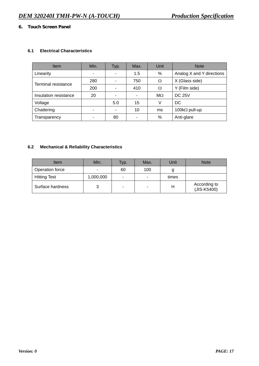## **6. Touch Screen Panel**

## **6.1 Electrical Characteristics**

| <b>Item</b>           | Min. | Typ.                     | Max. | Unit      | <b>Note</b>               |
|-----------------------|------|--------------------------|------|-----------|---------------------------|
| Linearity             | -    | ۰                        | 1.5  | %         | Analog X and Y directions |
| Terminal resistance   | 280  | ٠                        | 750  | Ω         | X (Glass side)            |
|                       | 200  | ٠                        | 410  | Ω         | Y (Film side)             |
| Insulation resistance | 20   | ٠                        | ۰    | $M\Omega$ | <b>DC 25V</b>             |
| Voltage               |      | 5.0                      | 15   |           | DC                        |
| Chattering            |      | $\overline{\phantom{0}}$ | 10   | ms        | 100k $\Omega$ pull-up     |
| Transparency          |      | 80                       | ٠    | %         | Anti-glare                |

# **6.2 Mechanical & Reliability Characteristics**

| Item                | Min.      | Typ. | Max. | Unit  | <b>Note</b>                 |
|---------------------|-----------|------|------|-------|-----------------------------|
| Operation force     | -         | 60   | 100  |       |                             |
| <b>Hitting Test</b> | 1,000,000 | -    | ۰    | times |                             |
| Surface hardness    |           |      | ٠    | н     | According to<br>(JIS-K5400) |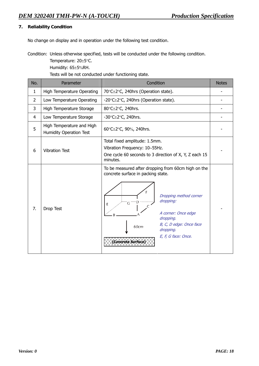## **7. Reliability Condition**

No change on display and in operation under the following test condition.

Condition: Unless otherwise specified, tests will be conducted under the following condition.

Temperature: 20±5°C.

Humidity: 65±5%RH.

Tests will be not conducted under functioning state.

| No.            | Parameter                                                   | Condition                                                                                                                                                                                                                                                                        | <b>Notes</b> |
|----------------|-------------------------------------------------------------|----------------------------------------------------------------------------------------------------------------------------------------------------------------------------------------------------------------------------------------------------------------------------------|--------------|
| $\mathbf{1}$   | High Temperature Operating                                  | 70°C±2°C, 240hrs (Operation state).                                                                                                                                                                                                                                              |              |
| $\overline{2}$ | Low Temperature Operating                                   | -20°C±2°C, 240hrs (Operation state).                                                                                                                                                                                                                                             |              |
| 3              | High Temperature Storage                                    | 80°C±2°C, 240hrs.                                                                                                                                                                                                                                                                |              |
| 4              | Low Temperature Storage                                     | -30 $°Cpm 2°C$ , 240hrs.                                                                                                                                                                                                                                                         |              |
| 5              | High Temperature and High<br><b>Humidity Operation Test</b> | 60°C±2°C, 90%, 240hrs.                                                                                                                                                                                                                                                           |              |
| 6              | <b>Vibration Test</b>                                       | Total fixed amplitude: 1.5mm.<br>Vibration Frequency: 10~55Hz.<br>One cycle 60 seconds to 3 direction of X, Y, Z each 15<br>minutes.                                                                                                                                             |              |
| 7.             | Drop Test                                                   | To be measured after dropping from 60cm high on the<br>concrete surface in packing state.<br>Е<br>Dropping method corner<br>dropping:<br>ΪG.<br>E<br>A corner: Once edge<br>dropping.<br>B, C, D edge: Once face<br>60cm<br>dropping.<br>E, F, G face: Once.<br>Concrete Surface |              |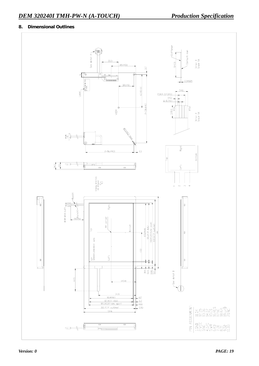# **8. Dimensional Outlines**

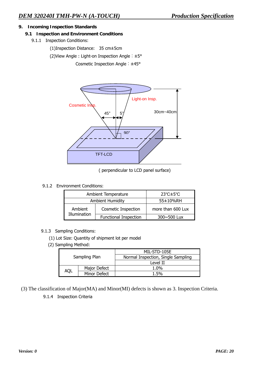## **9. Incoming Inspection Standards**

#### **9.1 Inspection and Environment Conditions**

9.1.1 Inspection Conditions:

(1)Inspection Distance: 35 cm±5cm

(2)View Angle : Light-on Inspection Angle︰±5°

Cosmetic Inspection Angle︰±45°



( perpendicular to LCD panel surface)

## 9.1.2 Environment Conditions:

| Ambient Temperature     | $23^{\circ}$ C $\pm$ 5 $^{\circ}$ C |                    |  |
|-------------------------|-------------------------------------|--------------------|--|
| <b>Ambient Humidity</b> | 55±10%RH                            |                    |  |
| Ambient                 | <b>Cosmetic Inspection</b>          | more than 600 Lux  |  |
| Illumination            | <b>Functional Inspection</b>        | $300 \sim 500$ Lux |  |

## 9.1.3 Sampling Conditions:

- (1) Lot Size: Quantity of shipment lot per model
- (2) Sampling Method:

|               |              | MIL-STD-105E                       |  |  |  |
|---------------|--------------|------------------------------------|--|--|--|
| Sampling Plan |              | Normal Inspection, Single Sampling |  |  |  |
|               |              | Level II                           |  |  |  |
|               | Major Defect | $1.0\%$                            |  |  |  |
| AQI           | Minor Defect | 1.5%                               |  |  |  |

(3) The classification of Major(MA) and Minor(MI) defects is shown as 3. Inspection Criteria.

9.1.4Inspection Criteria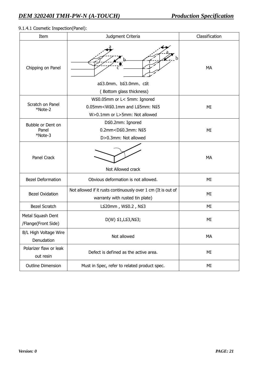# 9.1.4.1 Cosmetic Inspection(Panel):

| Item                                     | Judgment Criteria                                                                                                                                             | Classification |
|------------------------------------------|---------------------------------------------------------------------------------------------------------------------------------------------------------------|----------------|
| Chipping on Panel                        | b<br>a≦3.0mm, b≦3.0mm, c≦t<br>(Bottom glass thickness)                                                                                                        | MA             |
| Scratch on Panel<br>*Note-2              | W≦0.05mm or L< 5mm: Ignored<br>$0.05$ mm <w<math>\leq 0.1mm and L<math>\leq 5</math>mm: N<math>\leq 5</math><br/>W&gt;0.1mm or L&gt;5mm: Not allowed</w<math> | МI             |
| Bubble or Dent on<br>Panel<br>*Note-3    | D≦0.2mm: Ignored<br>0.2mm <d≦0.3mm: n≦5<br="">D&gt;0.3mm: Not allowed</d≦0.3mm:>                                                                              | ΜI             |
| <b>Panel Crack</b>                       | Not Allowed crack                                                                                                                                             | <b>MA</b>      |
| <b>Bezel Deformation</b>                 | Obvious deformation is not allowed.                                                                                                                           | ΜI             |
| <b>Bezel Oxidation</b>                   | Not allowed if it rusts continuously over 1 cm (It is out of<br>warranty with rusted tin plate)                                                               | ΜI             |
| <b>Bezel Scratch</b>                     | L≦20mm, W≦0.2, N≦3                                                                                                                                            | ΜI             |
| Metal Squash Dent<br>/Flange(Front Side) | $D(W)$ ≦1, L≦3, N≦3;                                                                                                                                          | ΜI             |
| B/L High Voltage Wire<br>Denudation      | Not allowed                                                                                                                                                   | МA             |
| Polarizer flaw or leak<br>out resin      | Defect is defined as the active area.                                                                                                                         | ΜI             |
| <b>Outline Dimension</b>                 | Must in Spec, refer to related product spec.                                                                                                                  | ΜI             |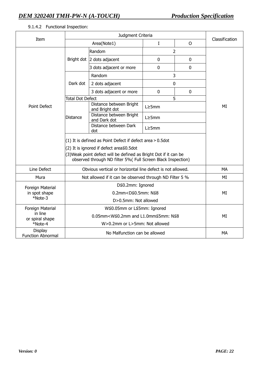#### Item Judgment Criteria Area(Note1) I O Classification Random and 1 and 2 Bright dot 2 dots adjacent 0 0 0 0  $3$  dots adjacent or more  $\begin{array}{|c|c|c|c|c|c|} \hline 3 & 0 & \hline \end{array}$  0 Random 3 Dark dot  $\begin{array}{|c|c|c|c|c|}\n\hline\n2$  dots adjacent  $\hline\n0$  $3$  dots adjacent or more  $\begin{vmatrix} 0 & 0 \\ 0 & 0 \end{vmatrix}$  0 Total Dot Defect 5 Distance between Bright Distance between Bright  $L \ge 5$ mm<br>and Bright dot Distance between Bright Distance  $\left| \begin{array}{c} \text{Distance} \\ \text{and Dark dot} \end{array} \right|$  L≥5mm Distance between Dark dot L≥5mm Point Defect (1) It is defined as Point Defect if defect area>0.5dot (2) It is ignored if defect area≦0.5dot (3)Weak point defect will be defined as Bright Dot if it can be observed through ND filter 5%( Full Screen Black Inspection) MI Line Defect **Consuments** Obvious vertical or horizontal line defect is not allowed. Mura Not allowed if it can be observed through ND Filter 5 % MI Foreign Material in spot shape \*Note-3 D≦0.2mm: Ignored 0.2mm<D≦0.5mm: N≦8 D>0.5mm: Not allowed MI Foreign Material in line or spiral shape  $*$ Note-4 W≦0.05mm or L≦5mm: Ignored 0.05mm<W≦0.2mm and L1.0mm≦5mm: N≦8 W>0.2mm or L>5mm: Not allowed MI **Display** Function Abnormal No Malfunction can be allowed MA

## 9.1.4.2 Functional Inspection: